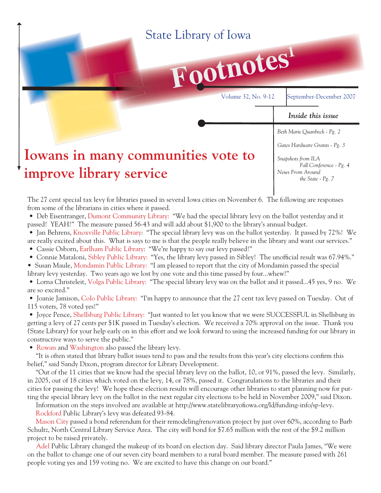## State Library of Iowa



Volume 32, No. 9-12 September-December 2007

#### *Inside this issue*

*Beth Marie Quanbeck - Pg. 2*

*Gates Hardware Grants - Pg. 3*

# **Iowans in many communities vote to improve library service**

*Snapshots from ILA Fall Conference - Pg. 4 News From Around the State - Pg. 7*

The 27 cent special tax levy for libraries passed in several Iowa cities on November 6. The following are responses from some of the librarians in cities where it passed.

 • Deb Eisentranger, Dumont Community Library: "We had the special library levy on the ballot yesterday and it passed! YEAH!" The measure passed 56-43 and will add about \$1,900 to the library's annual budget.

 • Jan Behrens, Knoxville Public Library: "The special library levy was on the ballot yesterday. It passed by 72%! We are really excited about this. What is says to me is that the people really believe in the library and want our services."

• Cassie Osborn, Earlham Public Library: "We're happy to say our levy passed!"

• Connie Mataloni, Sibley Public Library: "Yes, the library levy passed in Sibley! The unofficial result was 67.94%."

• Susan Maule, Mondamin Public Library: "I am pleased to report that the city of Mondamin passed the special library levy yesterday. Two years ago we lost by one vote and this time passed by four...whew!"

 • Lorna Christeleit, Volga Public Library: "The special library levy was on the ballot and it passed...45 yes, 9 no. We are so excited."

 • Joanie Jamison, Colo Public Library: "I'm happy to announce that the 27 cent tax levy passed on Tuesday. Out of 115 voters, 78 voted yes!"

 • Joyce Pence, Shellsburg Public Library: "Just wanted to let you know that we were SUCCESSFUL in Shellsburg in getting a levy of 27 cents per \$1K passed in Tuesday's election. We received a 70% approval on the issue. Thank you (State Library) for your help early on in this effort and we look forward to using the increased funding for our library in constructive ways to serve the public."

• Rowan and Washington also passed the library levy.

"It is often stated that library ballot issues tend to pass and the results from this year's city elections confirm this belief," said Sandy Dixon, program director for Library Development.

 "Out of the 11 cities that we know had the special library levy on the ballot, 10, or 91%, passed the levy. Similarly, in 2005, out of 18 cities which voted on the levy, 14, or 78%, passed it. Congratulations to the libraries and their cities for passing the levy! We hope these election results will encourage other libraries to start planning now for putting the special library levy on the ballot in the next regular city elections to be held in November 2009," said Dixon.

Information on the steps involved are available at http://www.statelibraryofiowa.org/ld/funding-info/sp-levy.

Rockford Public Library's levy was defeated 93-84.

 Mason City passed a bond referendum for their remodeling/renovation project by just over 60%, according to Barb Schultz, North Central Library Service Area. The city will bond for \$7.65 million with the rest of the \$9.2 million project to be raised privately.

 Adel Public Library changed the makeup of its board on election day. Said library director Paula James, "We were on the ballot to change one of our seven city board members to a rural board member. The measure passed with 261 people voting yes and 159 voting no. We are excited to have this change on our board."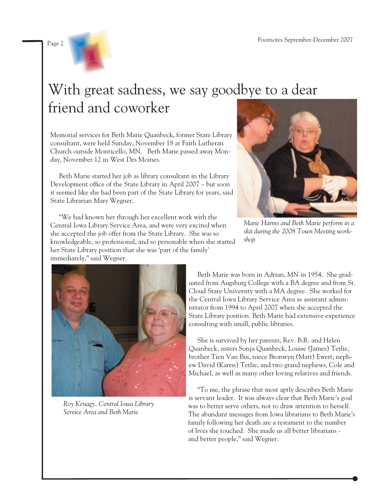

# With great sadness, we say goodbye to a dear friend and coworker

Memorial services for Beth Marie Quanbeck, former State Library consultant, were held Sunday, November 18 at Faith Lutheran Church outside Monticello, MN. Beth Marie passed away Monday, November 12 in West Des Moines.

 Beth Marie started her job as library consultant in the Library Development office of the State Library in April 2007 – but soon it seemed like she had been part of the State Library for years, said State Librarian Mary Wegner.

 "We had known her through her excellent work with the Central Iowa Library Service Area, and were very excited when she accepted the job offer from the State Library. She was so knowledgeable, so professional, and so personable when she started her State Library position that she was 'part of the family' immediately," said Wegner.



*Marie Harms and Beth Marie perform in a skit during the 2008 Town Meeting workshop*



*Roy Kenagy, Central Iowa Library Service Area and Beth Marie*

 Beth Marie was born in Adrian, MN in 1954. She graduated from Augsburg College with a BA degree and from St. Cloud State University with a MA degree. She worked for the Central Iowa Library Service Area as assistant administrator from 1994 to April 2007 when she accepted the State Library position. Beth Marie had extensive experience consulting with small, public libraries.

 She is survived by her parents, Rev. B.R. and Helen Quanbeck, sisters Sonja Quanbeck, Louise (James) Tetlie, brother Tien Van Bui, niece Bronwyn (Matt) Ewert, nephew David (Karen) Tetlie, and two grand nephews, Cole and Michael, as well as many other loving relatives and friends.

 "To me, the phrase that most aptly describes Beth Marie is servant leader. It was always clear that Beth Marie's goal was to better serve others, not to draw attention to herself. The abundant messages from Iowa librarians to Beth Marie's family following her death are a testament to the number of lives she touched. She made us all better librarians and better people," said Wegner.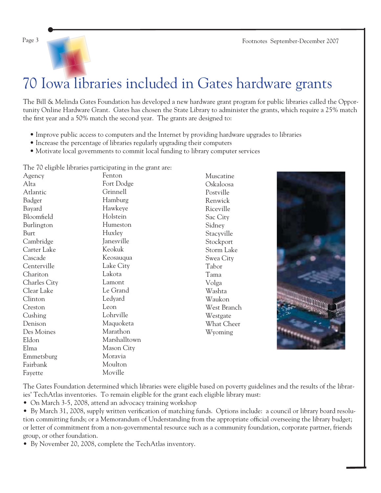Page 3 Footnotes September-December 2007



# 70 Iowa libraries included in Gates hardware grants

The Bill & Melinda Gates Foundation has developed a new hardware grant program for public libraries called the Opportunity Online Hardware Grant. Gates has chosen the State Library to administer the grants, which require a 25% match the first year and a 50% match the second year. The grants are designed to:

- Improve public access to computers and the Internet by providing hardware upgrades to libraries
- Increase the percentage of libraries regularly upgrading their computers
- Motivate local governments to commit local funding to library computer services

The 70 eligible libraries participating in the grant are:

Agency Alta Atlantic Badger Bayard Bloomfield Burlington Burt Cambridge Carter Lake Cascade Centerville Chariton Charles City Clear Lake Clinton Creston Cushing Denison Des Moines Eldon Elma Emmetsburg Fairbank Fayette Fenton Fort Dodge Grinnell Hamburg Hawkeye Holstein Humeston Huxley Janesville Keokuk Keosauqua Lake City Lakota Lamont Le Grand Ledyard Leon Lohrville Maquoketa Marathon Marshalltown Mason City Moravia Moulton Moville

Muscatine Oskaloosa Postville Renwick Riceville Sac City Sidney Stacyville Stockport Storm Lake Swea City Tabor Tama Volga Washta Waukon West Branch Westgate What Cheer Wyoming



The Gates Foundation determined which libraries were eligible based on poverty guidelines and the results of the libraries' TechAtlas inventories. To remain eligible for the grant each eligible library must:

• On March 3-5, 2008, attend an advocacy training workshop

• By March 31, 2008, supply written verification of matching funds. Options include: a council or library board resolution committing funds; or a Memorandum of Understanding from the appropriate official overseeing the library budget; or letter of commitment from a non-governmental resource such as a community foundation, corporate partner, friends group, or other foundation.

• By November 20, 2008, complete the TechAtlas inventory.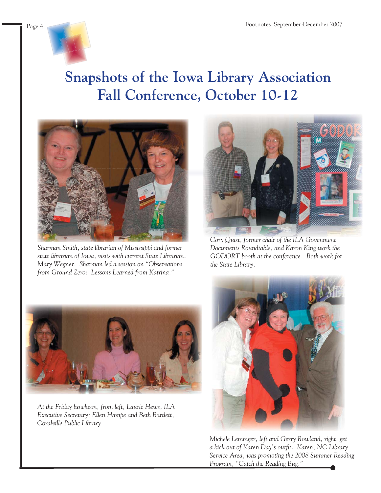

# **Snapshots of the Iowa Library Association Fall Conference, October 10-12**



*Sharman Smith, state librarian of Mississippi and former state librarian of Iowa, visits with current State Librarian, Mary Wegner. Sharman led a session on "Observations from Ground Zero: Lessons Learned from Katrina."*



*Cory Quist, former chair of the ILA Govenment Documents Roundtable, and Karon King work the GODORT booth at the conference. Both work for the State Library.*



*At the Friday luncheon, from left, Laurie Hews, ILA Executive Secretary; Ellen Hampe and Beth Bartlett, Coralville Public Library.* 



*Michele Leininger, left and Gerry Rowland, right, get a kick out of Karen Day's outfi t. Karen, NC Library Service Area, was promoting the 2008 Summer Reading Program, "Catch the Reading Bug."*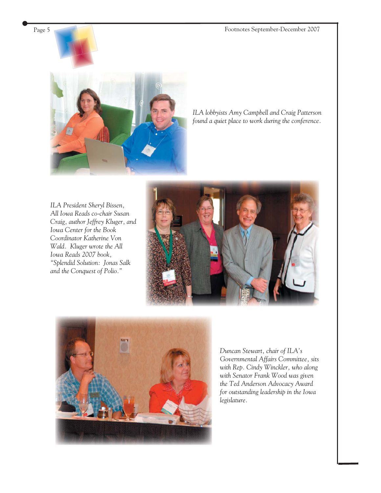Page 5 Footnotes September-December 2007



*ILA lobbyists Amy Campbell and Craig Patterson found a quiet place to work during the conference.*

*ILA President Sheryl Bissen, All Iowa Reads co-chair Susan Craig, author Jeffrey Kluger, and Iowa Center for the Book Coordinator Katherine Von Wald. Kluger wrote the All Iowa Reads 2007 book, "Splendid Solution: Jonas Salk and the Conquest of Polio."*





*Duncan Stewart, chair of ILA's Governmental Affairs Committee, sits with Rep. Cindy Winckler, who along with Senator Frank Wood was given the Ted Anderson Advocacy Award for outstanding leadership in the Iowa legislature.*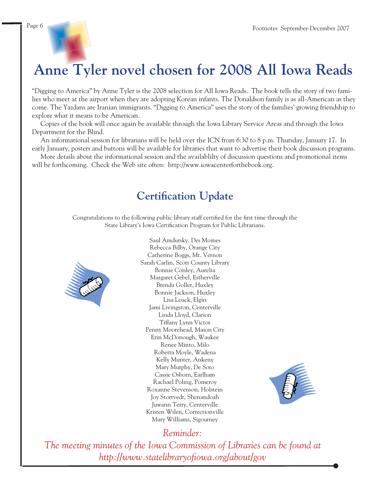**Anne Tyler novel chosen for 2008 All Iowa Reads**

"Digging to America" by Anne Tyler is the 2008 selection for All Iowa Reads. The book tells the story of two families who meet at the airport when they are adopting Korean infants. The Donaldson family is as all-American as they come. The Yazdans are Iranian immigrants. "Digging to America" uses the story of the families' growing friendship to explore what it means to be American.

 Copies of the book will once again be available through the Iowa Library Service Areas and through the Iowa Department for the Blind.

 An informational session for librarians will be held over the ICN from 6:30 to 8 p.m. Thursday, January 17. In early January, posters and buttons will be available for libraries that want to advertise their book discussion programs.

 More details about the informational session and the availablilty of discussion questions and promotional items will be forthcoming. Check the Web site often: http://www.[iowacenterforth](http://www.alliowareads.org)[ebook.org](http://www.iowacenterforthebook.org).

### **Certification Update**

Congratulations to the following public library staff certified for the first time through the State Library's Iowa Certification Program for Public Librarians.



Saul Amdursky, Des Moines Rebecca Bilby, Orange City Catherine Boggs, Mt. Vernon Sarah Carlin, Scott County Library Bonnie Conley, Aurelia Margaret Gebel, Estherville Brenda Goller, Huxley Bonnie Jackson, Huxley Lisa Leuck, Elgin Jami Livingston, Centerville Linda Lloyd, Clarion Tiffany Lynn Victor Penny Moorehead, Mason City Erin McDonough, Waukee Renee Minto, Milo Roberta Moyle, Wadena Kelly Munter, Ankeny Mary Murphy, De Soto Cassie Osborn, Earlham Rachael Poling, Pomeroy Roxanne Stevenson, Holstein Joy Stortvedt, Shenandoah Juwann Terry, Centerville Kristen Wilen, Correctionville Mary Williams, Sigourney



### *Reminder:*

*The meeting minutes of the Iowa Commission of Libraries can be found at [http://www.statelibraryofi owa.org/about/gov](http://www.statelibraryofiowa.org/about/gov)*